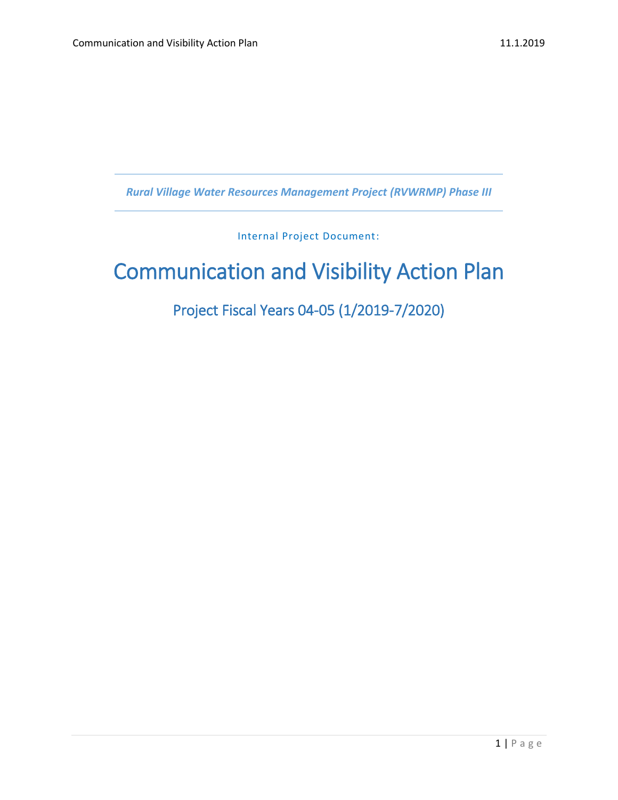*Rural Village Water Resources Management Project (RVWRMP) Phase III*

Internal Project Document:

# Communication and Visibility Action Plan

Project Fiscal Years 04-05 (1/2019-7/2020)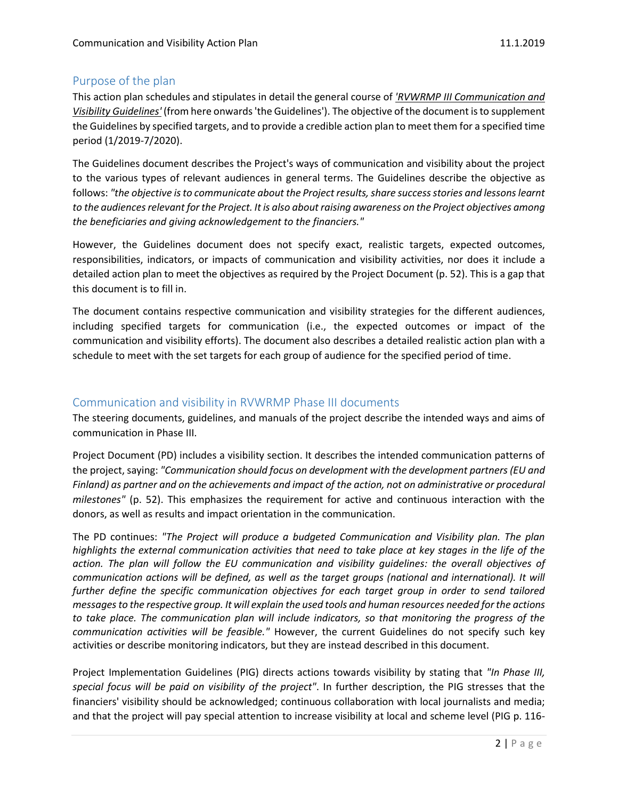# Purpose of the plan

This action plan schedules and stipulates in detail the general course of *'RVWRMP III Communication and Visibility Guidelines'* (from here onwards 'the Guidelines'). The objective of the document is to supplement the Guidelines by specified targets, and to provide a credible action plan to meet them for a specified time period (1/2019-7/2020).

The Guidelines document describes the Project's ways of communication and visibility about the project to the various types of relevant audiences in general terms. The Guidelines describe the objective as follows: *"the objective is to communicate about the Project results, share success stories and lessons learnt to the audiences relevant for the Project. It is also about raising awareness on the Project objectives among the beneficiaries and giving acknowledgement to the financiers."* 

However, the Guidelines document does not specify exact, realistic targets, expected outcomes, responsibilities, indicators, or impacts of communication and visibility activities, nor does it include a detailed action plan to meet the objectives as required by the Project Document (p. 52). This is a gap that this document is to fill in.

The document contains respective communication and visibility strategies for the different audiences, including specified targets for communication (i.e., the expected outcomes or impact of the communication and visibility efforts). The document also describes a detailed realistic action plan with a schedule to meet with the set targets for each group of audience for the specified period of time.

## Communication and visibility in RVWRMP Phase III documents

The steering documents, guidelines, and manuals of the project describe the intended ways and aims of communication in Phase III.

Project Document (PD) includes a visibility section. It describes the intended communication patterns of the project, saying: *"Communication should focus on development with the development partners (EU and Finland) as partner and on the achievements and impact of the action, not on administrative or procedural milestones"* (p. 52). This emphasizes the requirement for active and continuous interaction with the donors, as well as results and impact orientation in the communication.

The PD continues: *"The Project will produce a budgeted Communication and Visibility plan. The plan highlights the external communication activities that need to take place at key stages in the life of the action. The plan will follow the EU communication and visibility guidelines: the overall objectives of communication actions will be defined, as well as the target groups (national and international). It will further define the specific communication objectives for each target group in order to send tailored messages to the respective group. It will explain the used tools and human resources needed for the actions to take place. The communication plan will include indicators, so that monitoring the progress of the communication activities will be feasible."* However, the current Guidelines do not specify such key activities or describe monitoring indicators, but they are instead described in this document.

Project Implementation Guidelines (PIG) directs actions towards visibility by stating that *"In Phase III, special focus will be paid on visibility of the project"*. In further description, the PIG stresses that the financiers' visibility should be acknowledged; continuous collaboration with local journalists and media; and that the project will pay special attention to increase visibility at local and scheme level (PIG p. 116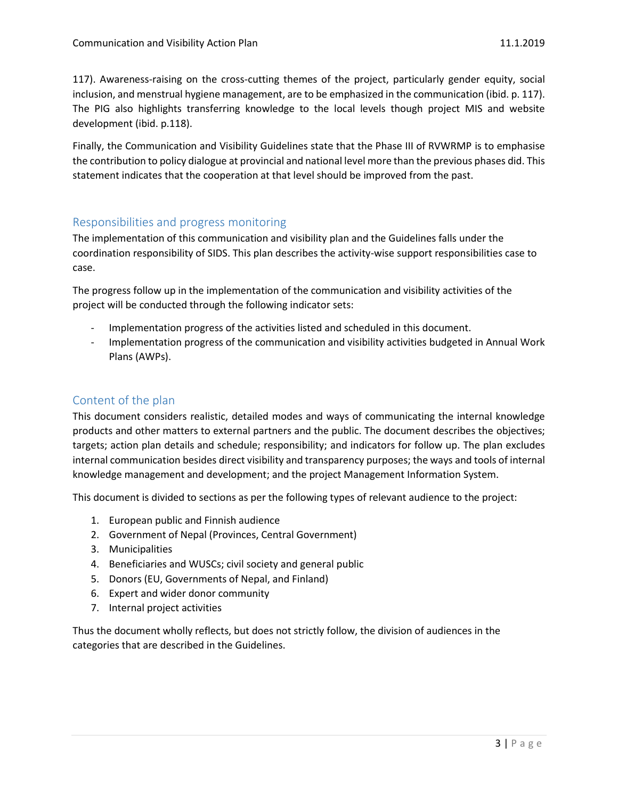117). Awareness-raising on the cross-cutting themes of the project, particularly gender equity, social inclusion, and menstrual hygiene management, are to be emphasized in the communication (ibid. p. 117). The PIG also highlights transferring knowledge to the local levels though project MIS and website development (ibid. p.118).

Finally, the Communication and Visibility Guidelines state that the Phase III of RVWRMP is to emphasise the contribution to policy dialogue at provincial and national level more than the previous phases did. This statement indicates that the cooperation at that level should be improved from the past.

#### Responsibilities and progress monitoring

The implementation of this communication and visibility plan and the Guidelines falls under the coordination responsibility of SIDS. This plan describes the activity-wise support responsibilities case to case.

The progress follow up in the implementation of the communication and visibility activities of the project will be conducted through the following indicator sets:

- Implementation progress of the activities listed and scheduled in this document.
- Implementation progress of the communication and visibility activities budgeted in Annual Work Plans (AWPs).

## Content of the plan

This document considers realistic, detailed modes and ways of communicating the internal knowledge products and other matters to external partners and the public. The document describes the objectives; targets; action plan details and schedule; responsibility; and indicators for follow up. The plan excludes internal communication besides direct visibility and transparency purposes; the ways and tools of internal knowledge management and development; and the project Management Information System.

This document is divided to sections as per the following types of relevant audience to the project:

- 1. European public and Finnish audience
- 2. Government of Nepal (Provinces, Central Government)
- 3. Municipalities
- 4. Beneficiaries and WUSCs; civil society and general public
- 5. Donors (EU, Governments of Nepal, and Finland)
- 6. Expert and wider donor community
- 7. Internal project activities

Thus the document wholly reflects, but does not strictly follow, the division of audiences in the categories that are described in the Guidelines.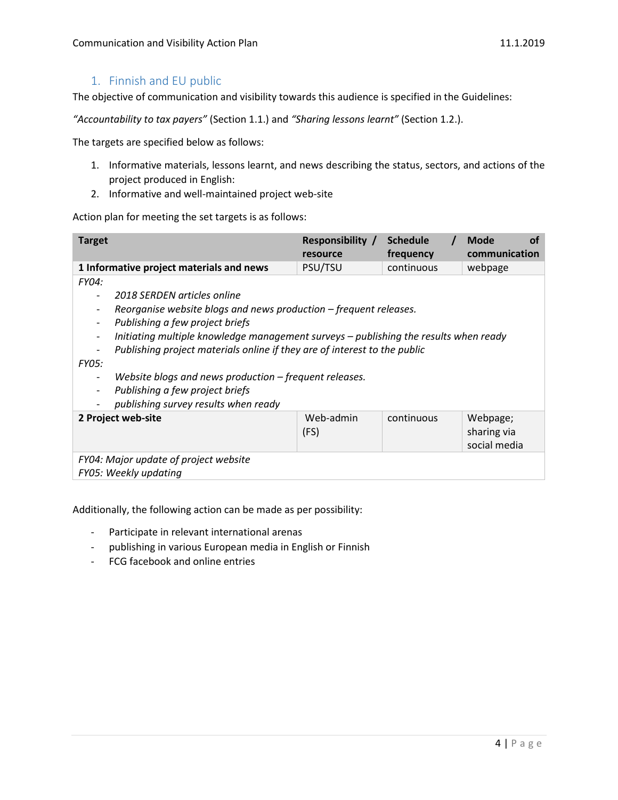## 1. Finnish and EU public

The objective of communication and visibility towards this audience is specified in the Guidelines:

*"Accountability to tax payers"* (Section 1.1.) and *"Sharing lessons learnt"* (Section 1.2.).

The targets are specified below as follows:

- 1. Informative materials, lessons learnt, and news describing the status, sectors, and actions of the project produced in English:
- 2. Informative and well-maintained project web-site

Action plan for meeting the set targets is as follows:

| <b>Target</b>                                                                        | Responsibility /<br>resource | <b>Schedule</b><br>frequency | <b>Mode</b><br>οf<br>communication |  |
|--------------------------------------------------------------------------------------|------------------------------|------------------------------|------------------------------------|--|
| 1 Informative project materials and news                                             | PSU/TSU                      | continuous                   | webpage                            |  |
| <b>FY04:</b>                                                                         |                              |                              |                                    |  |
| 2018 SERDEN articles online                                                          |                              |                              |                                    |  |
| Reorganise website blogs and news production – frequent releases.                    |                              |                              |                                    |  |
| Publishing a few project briefs                                                      |                              |                              |                                    |  |
| Initiating multiple knowledge management surveys – publishing the results when ready |                              |                              |                                    |  |
| Publishing project materials online if they are of interest to the public            |                              |                              |                                    |  |
| <b>FY05:</b>                                                                         |                              |                              |                                    |  |
| Website blogs and news production – frequent releases.                               |                              |                              |                                    |  |
| Publishing a few project briefs                                                      |                              |                              |                                    |  |
| publishing survey results when ready                                                 |                              |                              |                                    |  |
| 2 Project web-site                                                                   | Web-admin                    | continuous                   | Webpage;                           |  |
|                                                                                      | (FS)                         |                              | sharing via                        |  |
|                                                                                      |                              |                              | social media                       |  |
| FY04: Major update of project website                                                |                              |                              |                                    |  |
| FY05: Weekly updating                                                                |                              |                              |                                    |  |

Additionally, the following action can be made as per possibility:

- Participate in relevant international arenas
- publishing in various European media in English or Finnish
- FCG facebook and online entries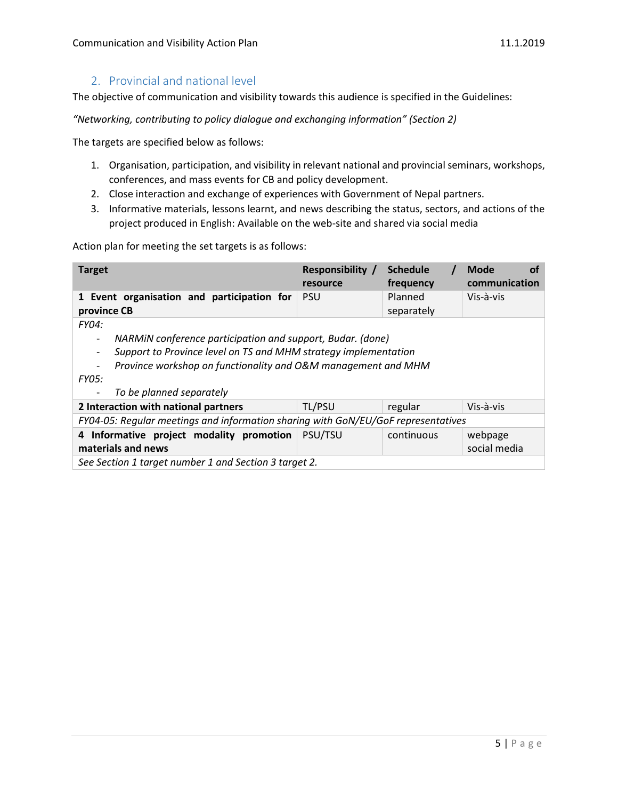## 2. Provincial and national level

The objective of communication and visibility towards this audience is specified in the Guidelines:

*"Networking, contributing to policy dialogue and exchanging information" (Section 2)*

The targets are specified below as follows:

- 1. Organisation, participation, and visibility in relevant national and provincial seminars, workshops, conferences, and mass events for CB and policy development.
- 2. Close interaction and exchange of experiences with Government of Nepal partners.
- 3. Informative materials, lessons learnt, and news describing the status, sectors, and actions of the project produced in English: Available on the web-site and shared via social media

| <b>Target</b>                                                                                                                                                                                                                                                                          | <b>Responsibility</b> /<br>resource | <b>Schedule</b><br>frequency | Mode<br>Ωt<br>communication |  |
|----------------------------------------------------------------------------------------------------------------------------------------------------------------------------------------------------------------------------------------------------------------------------------------|-------------------------------------|------------------------------|-----------------------------|--|
| 1 Event organisation and participation for<br>province CB                                                                                                                                                                                                                              | <b>PSU</b>                          | Planned<br>separately        | Vis-à-vis                   |  |
| <b>FY04:</b><br>NARMIN conference participation and support, Budar. (done)<br>$\overline{\phantom{0}}$<br>Support to Province level on TS and MHM strategy implementation<br>Province workshop on functionality and O&M management and MHM<br><b>FY05:</b><br>To be planned separately |                                     |                              |                             |  |
| 2 Interaction with national partners                                                                                                                                                                                                                                                   | TL/PSU                              | regular                      | Vis-à-vis                   |  |
| FY04-05: Regular meetings and information sharing with GoN/EU/GoF representatives                                                                                                                                                                                                      |                                     |                              |                             |  |
| 4 Informative project modality promotion<br>materials and news                                                                                                                                                                                                                         | PSU/TSU                             | continuous                   | webpage<br>social media     |  |
| See Section 1 target number 1 and Section 3 target 2.                                                                                                                                                                                                                                  |                                     |                              |                             |  |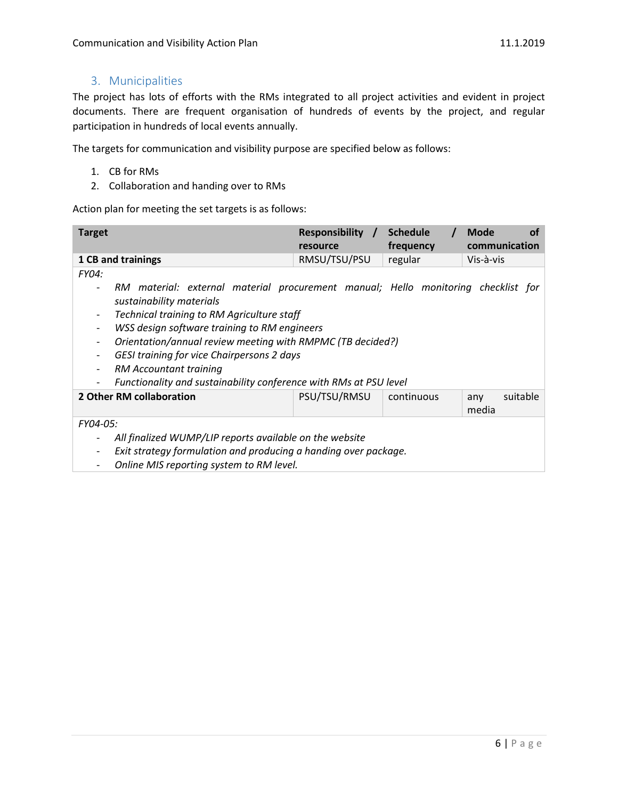## 3. Municipalities

The project has lots of efforts with the RMs integrated to all project activities and evident in project documents. There are frequent organisation of hundreds of events by the project, and regular participation in hundreds of local events annually.

The targets for communication and visibility purpose are specified below as follows:

- 1. CB for RMs
- 2. Collaboration and handing over to RMs

| <b>Target</b>                                                                                                                                                                                                                                                                                                                                                                        | Responsibility /<br>resource | <b>Schedule</b><br>frequency | <b>Mode</b><br>οf<br>communication |
|--------------------------------------------------------------------------------------------------------------------------------------------------------------------------------------------------------------------------------------------------------------------------------------------------------------------------------------------------------------------------------------|------------------------------|------------------------------|------------------------------------|
| 1 CB and trainings                                                                                                                                                                                                                                                                                                                                                                   | RMSU/TSU/PSU                 | regular                      | Vis-à-vis                          |
| FY04:                                                                                                                                                                                                                                                                                                                                                                                |                              |                              |                                    |
| RM material: external material procurement manual; Hello monitoring checklist for<br>sustainability materials<br>Technical training to RM Agriculture staff<br>WSS design software training to RM engineers<br>Orientation/annual review meeting with RMPMC (TB decided?)<br>$\overline{\phantom{a}}$<br>GESI training for vice Chairpersons 2 days<br><b>RM Accountant training</b> |                              |                              |                                    |
| Functionality and sustainability conference with RMs at PSU level<br>2 Other RM collaboration                                                                                                                                                                                                                                                                                        | PSU/TSU/RMSU                 | continuous                   | suitable                           |
|                                                                                                                                                                                                                                                                                                                                                                                      |                              |                              | any<br>media                       |
| FY04-05:                                                                                                                                                                                                                                                                                                                                                                             |                              |                              |                                    |
| All finalized WUMP/LIP reports available on the website<br>Exit strategy formulation and producing a handing over package.<br>Online MIS reporting system to RM level.                                                                                                                                                                                                               |                              |                              |                                    |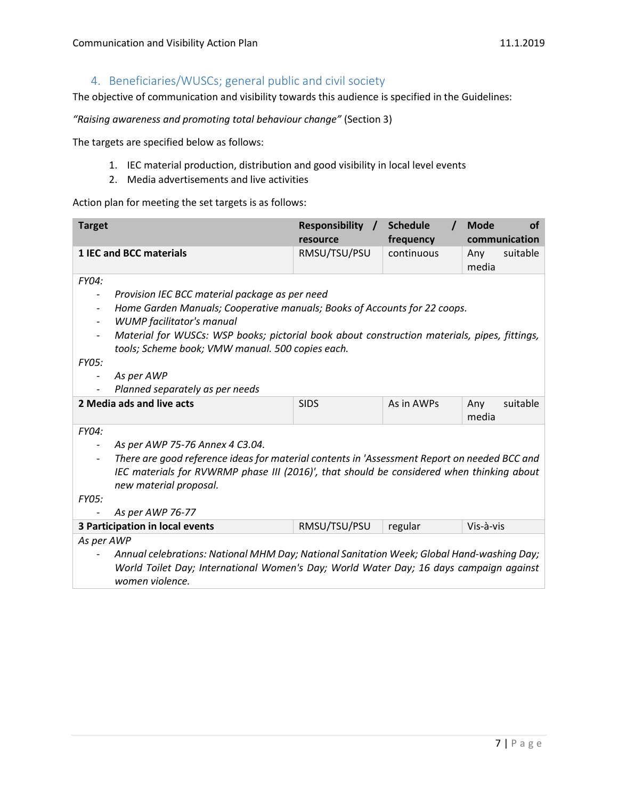# 4. Beneficiaries/WUSCs; general public and civil society

The objective of communication and visibility towards this audience is specified in the Guidelines:

*"Raising awareness and promoting total behaviour change"* (Section 3)

The targets are specified below as follows:

- 1. IEC material production, distribution and good visibility in local level events
- 2. Media advertisements and live activities

| <b>Target</b>                                                                                                                                                                                          |                                                                                              | Responsibility /<br>resource | <b>Schedule</b><br>frequency | <b>Mode</b><br>οf<br>communication |
|--------------------------------------------------------------------------------------------------------------------------------------------------------------------------------------------------------|----------------------------------------------------------------------------------------------|------------------------------|------------------------------|------------------------------------|
|                                                                                                                                                                                                        | <b>1 IEC and BCC materials</b>                                                               | RMSU/TSU/PSU                 | continuous                   | suitable<br>Any<br>media           |
| FY04:                                                                                                                                                                                                  |                                                                                              |                              |                              |                                    |
| $\overline{\phantom{a}}$                                                                                                                                                                               | Provision IEC BCC material package as per need                                               |                              |                              |                                    |
| $\overline{\phantom{a}}$                                                                                                                                                                               | Home Garden Manuals; Cooperative manuals; Books of Accounts for 22 coops.                    |                              |                              |                                    |
| $\overline{\phantom{a}}$                                                                                                                                                                               | <b>WUMP</b> facilitator's manual                                                             |                              |                              |                                    |
| $\overline{\phantom{a}}$                                                                                                                                                                               | Material for WUSCs: WSP books; pictorial book about construction materials, pipes, fittings, |                              |                              |                                    |
|                                                                                                                                                                                                        | tools; Scheme book; VMW manual. 500 copies each.                                             |                              |                              |                                    |
| <b>FY05:</b>                                                                                                                                                                                           |                                                                                              |                              |                              |                                    |
| $\overline{\phantom{a}}$                                                                                                                                                                               | As per AWP                                                                                   |                              |                              |                                    |
|                                                                                                                                                                                                        | Planned separately as per needs                                                              |                              |                              |                                    |
|                                                                                                                                                                                                        | 2 Media ads and live acts                                                                    | <b>SIDS</b>                  | As in AWPs                   | suitable<br>Any<br>media           |
| FY04:                                                                                                                                                                                                  |                                                                                              |                              |                              |                                    |
| $\overline{\phantom{a}}$                                                                                                                                                                               | As per AWP 75-76 Annex 4 C3.04.                                                              |                              |                              |                                    |
| There are good reference ideas for material contents in 'Assessment Report on needed BCC and                                                                                                           |                                                                                              |                              |                              |                                    |
| IEC materials for RVWRMP phase III (2016)', that should be considered when thinking about<br>new material proposal.                                                                                    |                                                                                              |                              |                              |                                    |
| <b>FY05:</b>                                                                                                                                                                                           |                                                                                              |                              |                              |                                    |
|                                                                                                                                                                                                        | As per AWP 76-77                                                                             |                              |                              |                                    |
|                                                                                                                                                                                                        | 3 Participation in local events                                                              | RMSU/TSU/PSU                 | regular                      | Vis-à-vis                          |
| As per AWP                                                                                                                                                                                             |                                                                                              |                              |                              |                                    |
| Annual celebrations: National MHM Day; National Sanitation Week; Global Hand-washing Day;<br>World Toilet Day; International Women's Day; World Water Day; 16 days campaign against<br>women violence. |                                                                                              |                              |                              |                                    |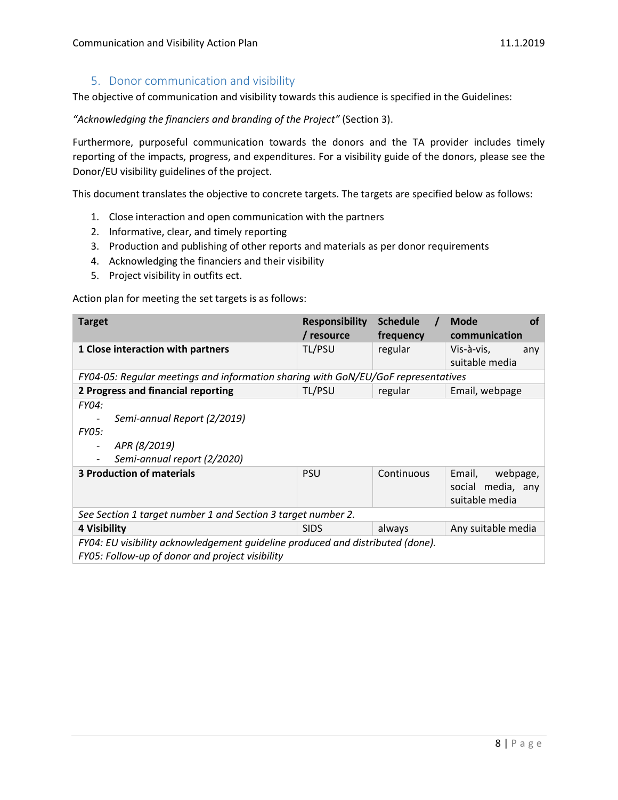#### 5. Donor communication and visibility

The objective of communication and visibility towards this audience is specified in the Guidelines:

*"Acknowledging the financiers and branding of the Project"* (Section 3).

Furthermore, purposeful communication towards the donors and the TA provider includes timely reporting of the impacts, progress, and expenditures. For a visibility guide of the donors, please see the Donor/EU visibility guidelines of the project.

This document translates the objective to concrete targets. The targets are specified below as follows:

- 1. Close interaction and open communication with the partners
- 2. Informative, clear, and timely reporting
- 3. Production and publishing of other reports and materials as per donor requirements
- 4. Acknowledging the financiers and their visibility
- 5. Project visibility in outfits ect.

| <b>Target</b>                                                                                                                     | <b>Responsibility</b><br>/ resource | <b>Schedule</b><br>frequency | <b>Mode</b><br>Ωf<br>communication                        |  |
|-----------------------------------------------------------------------------------------------------------------------------------|-------------------------------------|------------------------------|-----------------------------------------------------------|--|
| 1 Close interaction with partners                                                                                                 | TL/PSU                              | regular                      | Vis-à-vis,<br>any<br>suitable media                       |  |
| FY04-05: Regular meetings and information sharing with GoN/EU/GoF representatives                                                 |                                     |                              |                                                           |  |
| 2 Progress and financial reporting                                                                                                | TL/PSU<br>regular                   |                              | Email, webpage                                            |  |
| FY04:<br>Semi-annual Report (2/2019)<br><b>FY05:</b><br>APR (8/2019)<br>Semi-annual report (2/2020)                               |                                     |                              |                                                           |  |
| <b>3 Production of materials</b>                                                                                                  | <b>PSU</b>                          | Continuous                   | Email,<br>webpage,<br>social media, any<br>suitable media |  |
| See Section 1 target number 1 and Section 3 target number 2.                                                                      |                                     |                              |                                                           |  |
| 4 Visibility                                                                                                                      | <b>SIDS</b>                         | always                       | Any suitable media                                        |  |
| FY04: EU visibility acknowledgement quideline produced and distributed (done).<br>FY05: Follow-up of donor and project visibility |                                     |                              |                                                           |  |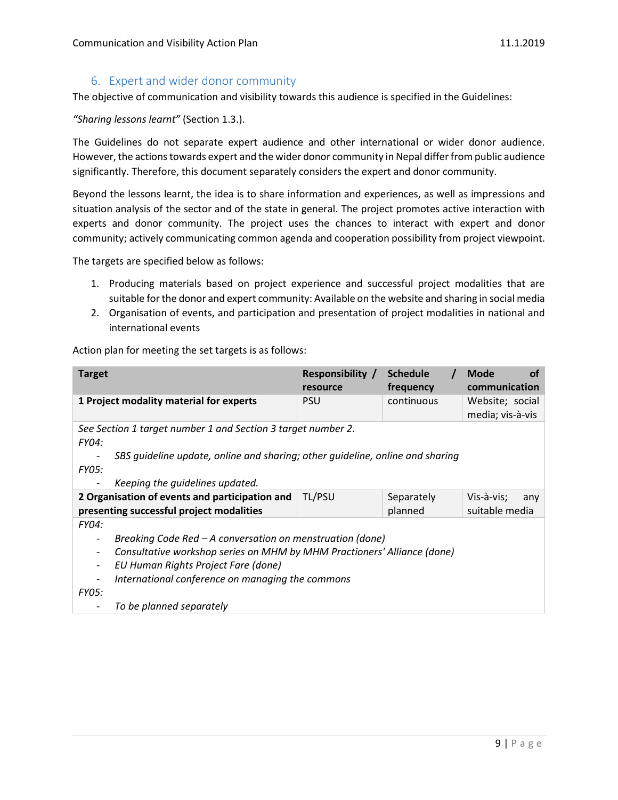## 6. Expert and wider donor community

The objective of communication and visibility towards this audience is specified in the Guidelines:

*"Sharing lessons learnt"* (Section 1.3.).

The Guidelines do not separate expert audience and other international or wider donor audience. However, the actions towards expert and the wider donor community in Nepal differ from public audience significantly. Therefore, this document separately considers the expert and donor community.

Beyond the lessons learnt, the idea is to share information and experiences, as well as impressions and situation analysis of the sector and of the state in general. The project promotes active interaction with experts and donor community. The project uses the chances to interact with expert and donor community; actively communicating common agenda and cooperation possibility from project viewpoint.

The targets are specified below as follows:

- 1. Producing materials based on project experience and successful project modalities that are suitable for the donor and expert community: Available on the website and sharing in social media
- 2. Organisation of events, and participation and presentation of project modalities in national and international events

| <b>Target</b>                                                                                       | <b>Responsibility /</b><br>resource | <b>Schedule</b><br>frequency | <b>Mode</b><br>οf<br>communication  |
|-----------------------------------------------------------------------------------------------------|-------------------------------------|------------------------------|-------------------------------------|
| 1 Project modality material for experts                                                             | <b>PSU</b>                          | continuous                   | Website; social<br>media; vis-à-vis |
| See Section 1 target number 1 and Section 3 target number 2.<br><b>FY04:</b>                        |                                     |                              |                                     |
| SBS quideline update, online and sharing; other quideline, online and sharing                       |                                     |                              |                                     |
| <b>FY05:</b>                                                                                        |                                     |                              |                                     |
| Keeping the quidelines updated.                                                                     |                                     |                              |                                     |
| 2 Organisation of events and participation and                                                      | TL/PSU                              | Separately                   | Vis-à-vis;<br>any                   |
| presenting successful project modalities                                                            |                                     | planned                      | suitable media                      |
| <b>FY04:</b>                                                                                        |                                     |                              |                                     |
| Breaking Code Red - A conversation on menstruation (done)                                           |                                     |                              |                                     |
| Consultative workshop series on MHM by MHM Practioners' Alliance (done)<br>$\overline{\phantom{a}}$ |                                     |                              |                                     |
| EU Human Rights Project Fare (done)<br>$\overline{\phantom{a}}$                                     |                                     |                              |                                     |
| International conference on managing the commons                                                    |                                     |                              |                                     |
| <b>FY05:</b>                                                                                        |                                     |                              |                                     |
| To be planned separately                                                                            |                                     |                              |                                     |